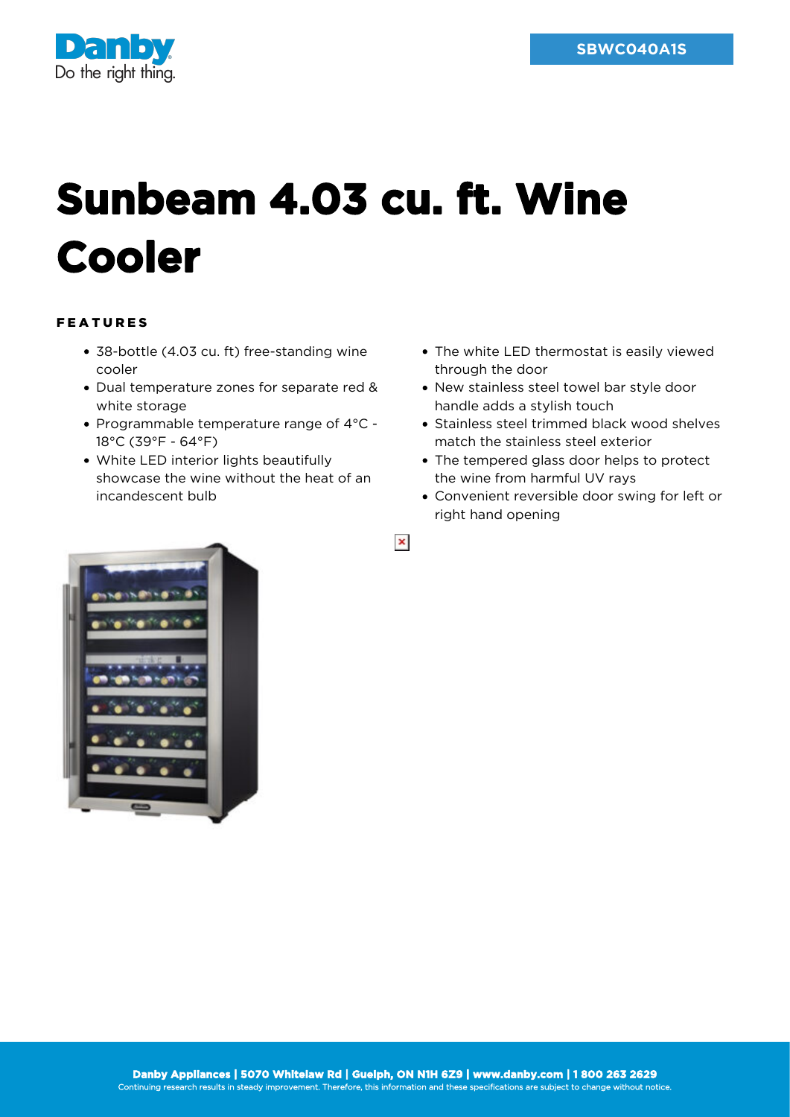

## **Sunbeam 4.03 cu. ft. Wine Cooler**

## FEATURES

- 38-bottle (4.03 cu. ft) free-standing wine cooler
- Dual temperature zones for separate red & white storage
- Programmable temperature range of 4°C 18°C (39°F - 64°F)
- White LED interior lights beautifully showcase the wine without the heat of an incandescent bulb
- The white LED thermostat is easily viewed through the door
- New stainless steel towel bar style door handle adds a stylish touch
- Stainless steel trimmed black wood shelves match the stainless steel exterior
- The tempered glass door helps to protect the wine from harmful UV rays
- Convenient reversible door swing for left or right hand opening



 $\pmb{\times}$